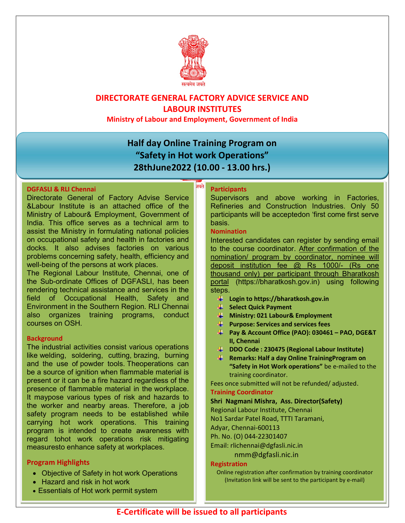

### DIRECTORATE GENERAL FACTORY ADVICE SERVICE AND LABOUR INSTITUTES

Ministry of Labour and Employment, Government of India

## Half day Online Training Program on "Safety in Hot work Operations" 28thJune2022 (10.00 - 13.00 hrs.)

नयते

#### DGFASLI & RLI Chennai

Directorate General of Factory Advise Service &Labour Institute is an attached office of the Ministry of Labour& Employment, Government of India. This office serves as a technical arm to assist the Ministry in formulating national policies on occupational safety and health in factories and docks. It also advises factories on various problems concerning safety, health, efficiency and well-being of the persons at work places.

The Regional Labour Institute, Chennai, one of the Sub-ordinate Offices of DGFASLI, has been rendering technical assistance and services in the field of Occupational Health, Safety and Environment in the Southern Region. RLI Chennai also organizes training programs, conduct courses on OSH.

#### **Background**

The industrial activities consist various operations like welding, soldering, cutting, brazing, burning and the use of powder tools. Theoperations can be a source of ignition when flammable material is present or it can be a fire hazard regardless of the presence of flammable material in the workplace. It maypose various types of risk and hazards to the worker and nearby areas. Therefore, a job safety program needs to be established while carrying hot work operations. This training program is intended to create awareness with regard tohot work operations risk mitigating measuresto enhance safety at workplaces.

### Program Highlights

- Objective of Safety in hot work Operations
- Hazard and risk in hot work
- Essentials of Hot work permit system

#### **Participants**

Supervisors and above working in Factories, Refineries and Construction Industries. Only 50 participants will be acceptedon 'first come first serve basis.

#### Nomination

Interested candidates can register by sending email to the course coordinator. After confirmation of the nomination/ program by coordinator, nominee will deposit institution fee @ Rs 1000/- (Rs one thousand only) per participant through Bharatkosh portal (https://bharatkosh.gov.in) using following steps.

- **Login to https://bharatkosh.gov.in**
- Select Quick Payment
- **Ministry: 021 Labour& Employment**
- $\mathbf{\downarrow}$  Purpose: Services and services fees
- **Pay & Account Office (PAO): 030461 PAO, DGE&T** II, Chennai
- DDO Code : 230475 (Regional Labour Institute)
- **Remarks: Half a day Online Training Program on** "Safety in Hot Work operations" be e-mailed to the training coordinator.

Fees once submitted will not be refunded/ adjusted.

#### Training Coordinator

Shri Nagmani Mishra, Ass. Director(Safety)

Regional Labour Institute, Chennai

No1 Sardar Patel Road, TTTI Taramani,

Adyar, Chennai-600113

Ph. No. (O) 044-22301407

Email: rlichennai@dgfasli.nic.in

nmm@dgfasli.nic.in

#### Registration

Online registration after confirmation by training coordinator (Invitation link will be sent to the participant by e-mail)